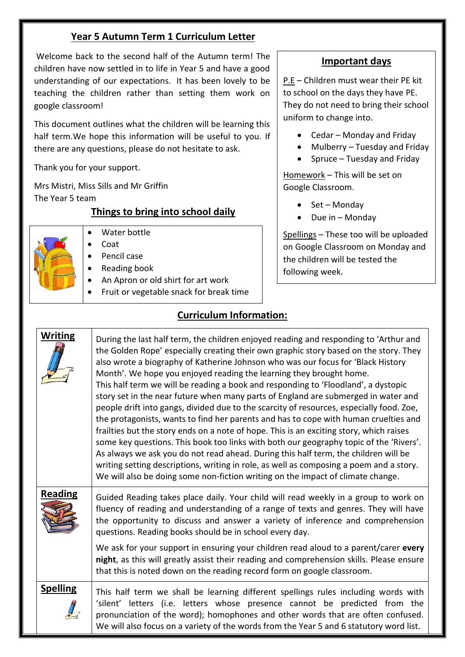## **Year 5 Autumn Term 1 Curriculum Letter**

Welcome back to the second half of the Autumn term! The children have now settled in to life in Year 5 and have a good understanding of our expectations. It has been lovely to be teaching the children rather than setting them work on google classroom!

This document outlines what the children will be learning this half term.We hope this information will be useful to you. If there are any questions, please do not hesitate to ask.

Thank you for your support.

Mrs Mistri, Miss Sills and Mr Griffin The Year 5 team

## **Things to bring into school daily**



- Water bottle
	- Coat
	- Pencil case
	- Reading book
- An Apron or old shirt for art work
- Fruit or vegetable snack for break time

## **Curriculum Information:**

| <b>Writing</b>  | During the last half term, the children enjoyed reading and responding to 'Arthur and<br>the Golden Rope' especially creating their own graphic story based on the story. They<br>also wrote a biography of Katherine Johnson who was our focus for 'Black History<br>Month'. We hope you enjoyed reading the learning they brought home.<br>This half term we will be reading a book and responding to 'Floodland', a dystopic<br>story set in the near future when many parts of England are submerged in water and<br>people drift into gangs, divided due to the scarcity of resources, especially food. Zoe,<br>the protagonists, wants to find her parents and has to cope with human cruelties and<br>frailties but the story ends on a note of hope. This is an exciting story, which raises<br>some key questions. This book too links with both our geography topic of the 'Rivers'.<br>As always we ask you do not read ahead. During this half term, the children will be<br>writing setting descriptions, writing in role, as well as composing a poem and a story.<br>We will also be doing some non-fiction writing on the impact of climate change. |
|-----------------|---------------------------------------------------------------------------------------------------------------------------------------------------------------------------------------------------------------------------------------------------------------------------------------------------------------------------------------------------------------------------------------------------------------------------------------------------------------------------------------------------------------------------------------------------------------------------------------------------------------------------------------------------------------------------------------------------------------------------------------------------------------------------------------------------------------------------------------------------------------------------------------------------------------------------------------------------------------------------------------------------------------------------------------------------------------------------------------------------------------------------------------------------------------------|
| <b>Reading</b>  | Guided Reading takes place daily. Your child will read weekly in a group to work on<br>fluency of reading and understanding of a range of texts and genres. They will have<br>the opportunity to discuss and answer a variety of inference and comprehension<br>questions. Reading books should be in school every day.                                                                                                                                                                                                                                                                                                                                                                                                                                                                                                                                                                                                                                                                                                                                                                                                                                             |
|                 | We ask for your support in ensuring your children read aloud to a parent/carer every<br>night, as this will greatly assist their reading and comprehension skills. Please ensure<br>that this is noted down on the reading record form on google classroom.                                                                                                                                                                                                                                                                                                                                                                                                                                                                                                                                                                                                                                                                                                                                                                                                                                                                                                         |
| <b>Spelling</b> | This half term we shall be learning different spellings rules including words with<br>'silent' letters (i.e. letters whose presence cannot be predicted from the<br>pronunciation of the word); homophones and other words that are often confused.<br>We will also focus on a variety of the words from the Year 5 and 6 statutory word list.                                                                                                                                                                                                                                                                                                                                                                                                                                                                                                                                                                                                                                                                                                                                                                                                                      |

## **Important days**

P.E – Children must wear their PE kit to school on the days they have PE. They do not need to bring their school uniform to change into.

- Cedar Monday and Friday
- Mulberry Tuesday and Friday
- $\bullet$  Spruce Tuesday and Friday

Homework – This will be set on Google Classroom.

- $\bullet$  Set Mondav
- $\bullet$  Due in Monday

Spellings – These too will be uploaded on Google Classroom on Monday and the children will be tested the following week.